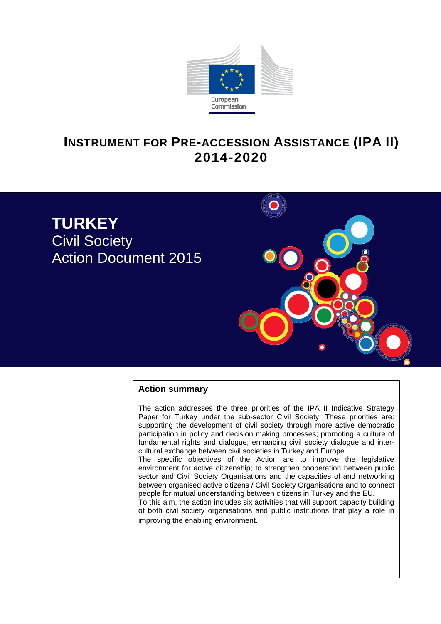

# **INSTRUMENT FOR PRE-ACCESSION ASSISTANCE (IPA II) 2014-2020**



## **Action summary**

The action addresses the three priorities of the IPA II Indicative Strategy Paper for Turkey under the sub-sector Civil Society. These priorities are: supporting the development of civil society through more active democratic participation in policy and decision making processes; promoting a culture of fundamental rights and dialogue; enhancing civil society dialogue and intercultural exchange between civil societies in Turkey and Europe.

The specific objectives of the Action are to improve the legislative environment for active citizenship; to strengthen cooperation between public sector and Civil Society Organisations and the capacities of and networking between organised active citizens / Civil Society Organisations and to connect people for mutual understanding between citizens in Turkey and the EU.

To this aim, the action includes six activities that will support capacity building of both civil society organisations and public institutions that play a role in improving the enabling environment.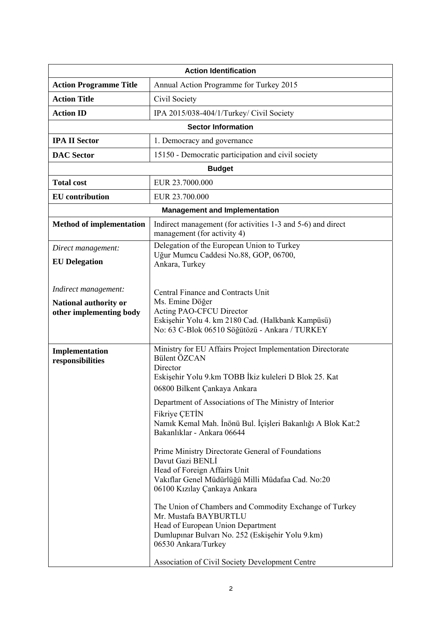| <b>Action Identification</b>                                 |                                                                                            |  |  |  |
|--------------------------------------------------------------|--------------------------------------------------------------------------------------------|--|--|--|
| <b>Action Programme Title</b>                                | Annual Action Programme for Turkey 2015                                                    |  |  |  |
| <b>Action Title</b>                                          | Civil Society                                                                              |  |  |  |
| <b>Action ID</b><br>IPA 2015/038-404/1/Turkey/ Civil Society |                                                                                            |  |  |  |
|                                                              | <b>Sector Information</b>                                                                  |  |  |  |
| <b>IPA II Sector</b>                                         | 1. Democracy and governance                                                                |  |  |  |
| <b>DAC</b> Sector                                            | 15150 - Democratic participation and civil society                                         |  |  |  |
|                                                              | <b>Budget</b>                                                                              |  |  |  |
| <b>Total cost</b>                                            | EUR 23.7000.000                                                                            |  |  |  |
| <b>EU</b> contribution                                       | EUR 23.700.000                                                                             |  |  |  |
|                                                              | <b>Management and Implementation</b>                                                       |  |  |  |
| <b>Method of implementation</b>                              | Indirect management (for activities 1-3 and 5-6) and direct<br>management (for activity 4) |  |  |  |
| Direct management:                                           | Delegation of the European Union to Turkey                                                 |  |  |  |
| <b>EU</b> Delegation                                         | Uğur Mumcu Caddesi No.88, GOP, 06700,<br>Ankara, Turkey                                    |  |  |  |
|                                                              |                                                                                            |  |  |  |
| Indirect management:                                         | Central Finance and Contracts Unit                                                         |  |  |  |
| National authority or                                        | Ms. Emine Döğer                                                                            |  |  |  |
| other implementing body                                      | Acting PAO-CFCU Director<br>Eskişehir Yolu 4. km 2180 Cad. (Halkbank Kampüsü)              |  |  |  |
|                                                              | No: 63 C-Blok 06510 Söğütözü - Ankara / TURKEY                                             |  |  |  |
| Implementation                                               | Ministry for EU Affairs Project Implementation Directorate                                 |  |  |  |
| responsibilities                                             | Bülent ÖZCAN                                                                               |  |  |  |
|                                                              | Director<br>Eskişehir Yolu 9.km TOBB İkiz kuleleri D Blok 25. Kat                          |  |  |  |
|                                                              | 06800 Bilkent Çankaya Ankara                                                               |  |  |  |
|                                                              | Department of Associations of The Ministry of Interior                                     |  |  |  |
|                                                              | Fikriye ÇETİN                                                                              |  |  |  |
|                                                              | Namık Kemal Mah. İnönü Bul. İçişleri Bakanlığı A Blok Kat:2<br>Bakanlıklar - Ankara 06644  |  |  |  |
|                                                              |                                                                                            |  |  |  |
|                                                              | Prime Ministry Directorate General of Foundations<br>Davut Gazi BENLI                      |  |  |  |
|                                                              | Head of Foreign Affairs Unit                                                               |  |  |  |
|                                                              | Vakıflar Genel Müdürlüğü Milli Müdafaa Cad. No:20                                          |  |  |  |
|                                                              | 06100 Kızılay Çankaya Ankara                                                               |  |  |  |
|                                                              | The Union of Chambers and Commodity Exchange of Turkey                                     |  |  |  |
|                                                              | Mr. Mustafa BAYBURTLU<br>Head of European Union Department                                 |  |  |  |
|                                                              | Dumlupınar Bulvarı No. 252 (Eskişehir Yolu 9.km)                                           |  |  |  |
| 06530 Ankara/Turkey                                          |                                                                                            |  |  |  |
|                                                              | Association of Civil Society Development Centre                                            |  |  |  |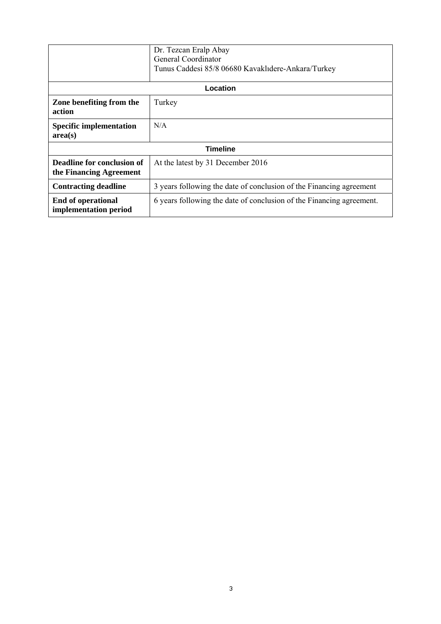|                                                       | Dr. Tezcan Eralp Abay<br>General Coordinator<br>Tunus Caddesi 85/8 06680 Kavaklıdere-Ankara/Turkey |  |  |  |
|-------------------------------------------------------|----------------------------------------------------------------------------------------------------|--|--|--|
| Location                                              |                                                                                                    |  |  |  |
| Zone benefiting from the<br>action                    | Turkey                                                                                             |  |  |  |
| <b>Specific implementation</b><br>area(s)             | N/A                                                                                                |  |  |  |
| <b>Timeline</b>                                       |                                                                                                    |  |  |  |
| Deadline for conclusion of<br>the Financing Agreement | At the latest by 31 December 2016                                                                  |  |  |  |
| <b>Contracting deadline</b>                           | 3 years following the date of conclusion of the Financing agreement                                |  |  |  |
| End of operational<br>implementation period           | 6 years following the date of conclusion of the Financing agreement.                               |  |  |  |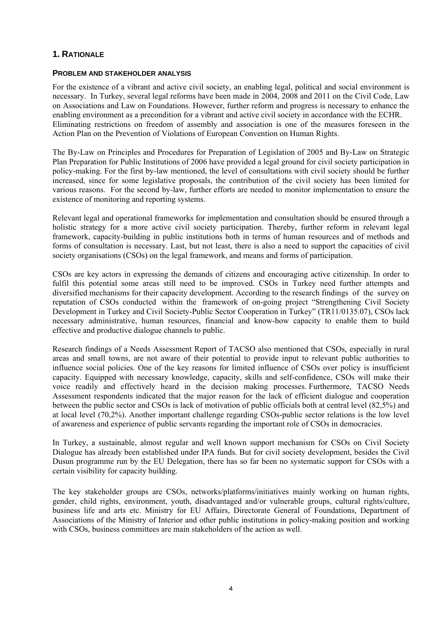# **1. RATIONALE**

## **PROBLEM AND STAKEHOLDER ANALYSIS**

For the existence of a vibrant and active civil society, an enabling legal, political and social environment is necessary. In Turkey, several legal reforms have been made in 2004, 2008 and 2011 on the Civil Code, Law on Associations and Law on Foundations. However, further reform and progress is necessary to enhance the enabling environment as a precondition for a vibrant and active civil society in accordance with the ECHR. Eliminating restrictions on freedom of assembly and association is one of the measures foreseen in the Action Plan on the Prevention of Violations of European Convention on Human Rights.

The By-Law on Principles and Procedures for Preparation of Legislation of 2005 and By-Law on Strategic Plan Preparation for Public Institutions of 2006 have provided a legal ground for civil society participation in policy-making. For the first by-law mentioned, the level of consultations with civil society should be further increased, since for some legislative proposals, the contribution of the civil society has been limited for various reasons. For the second by-law, further efforts are needed to monitor implementation to ensure the existence of monitoring and reporting systems.

Relevant legal and operational frameworks for implementation and consultation should be ensured through a holistic strategy for a more active civil society participation. Thereby, further reform in relevant legal framework, capacity-building in public institutions both in terms of human resources and of methods and forms of consultation is necessary. Last, but not least, there is also a need to support the capacities of civil society organisations (CSOs) on the legal framework, and means and forms of participation.

CSOs are key actors in expressing the demands of citizens and encouraging active citizenship. In order to fulfil this potential some areas still need to be improved. CSOs in Turkey need further attempts and diversified mechanisms for their capacity development. According to the research findings of the survey on reputation of CSOs conducted within the framework of on-going project "Strengthening Civil Society Development in Turkey and Civil Society-Public Sector Cooperation in Turkey" (TR11/0135.07), CSOs lack necessary administrative, human resources, financial and know-how capacity to enable them to build effective and productive dialogue channels to public.

Research findings of a Needs Assessment Report of TACSO also mentioned that CSOs, especially in rural areas and small towns, are not aware of their potential to provide input to relevant public authorities to influence social policies. One of the key reasons for limited influence of CSOs over policy is insufficient capacity. Equipped with necessary knowledge, capacity, skills and self-confidence, CSOs will make their voice readily and effectively heard in the decision making processes. Furthermore, TACSO Needs Assessment respondents indicated that the major reason for the lack of efficient dialogue and cooperation between the public sector and CSOs is lack of motivation of public officials both at central level (82,5%) and at local level (70,2%). Another important challenge regarding CSOs-public sector relations is the low level of awareness and experience of public servants regarding the important role of CSOs in democracies.

In Turkey, a sustainable, almost regular and well known support mechanism for CSOs on Civil Society Dialogue has already been established under IPA funds. But for civil society development, besides the Civil Dusun programme run by the EU Delegation, there has so far been no systematic support for CSOs with a certain visibility for capacity building.

The key stakeholder groups are CSOs, networks/platforms/initiatives mainly working on human rights, gender, child rights, environment, youth, disadvantaged and/or vulnerable groups, cultural rights/culture, business life and arts etc. Ministry for EU Affairs, Directorate General of Foundations, Department of Associations of the Ministry of Interior and other public institutions in policy-making position and working with CSOs, business committees are main stakeholders of the action as well.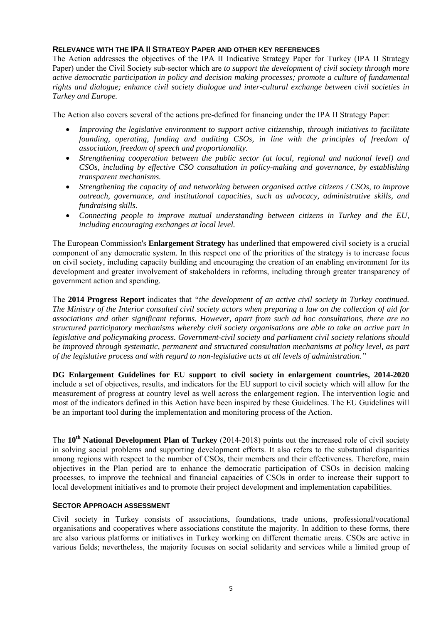# **RELEVANCE WITH THE IPA II STRATEGY PAPER AND OTHER KEY REFERENCES**

The Action addresses the objectives of the IPA II Indicative Strategy Paper for Turkey (IPA II Strategy Paper) under the Civil Society sub-sector which are *to support the development of civil society through more active democratic participation in policy and decision making processes; promote a culture of fundamental rights and dialogue; enhance civil society dialogue and inter-cultural exchange between civil societies in Turkey and Europe.* 

The Action also covers several of the actions pre-defined for financing under the IPA II Strategy Paper:

- *Improving the legislative environment to support active citizenship, through initiatives to facilitate founding, operating, funding and auditing CSOs, in line with the principles of freedom of association, freedom of speech and proportionality.*
- *Strengthening cooperation between the public sector (at local, regional and national level) and CSOs, including by effective CSO consultation in policy-making and governance, by establishing transparent mechanisms.*
- *Strengthening the capacity of and networking between organised active citizens / CSOs, to improve outreach, governance, and institutional capacities, such as advocacy, administrative skills, and fundraising skills.*
- *Connecting people to improve mutual understanding between citizens in Turkey and the EU, including encouraging exchanges at local level.*

The European Commission's **Enlargement Strategy** has underlined that empowered civil society is a crucial component of any democratic system. In this respect one of the priorities of the strategy is to increase focus on civil society, including capacity building and encouraging the creation of an enabling environment for its development and greater involvement of stakeholders in reforms, including through greater transparency of government action and spending.

The **2014 Progress Report** indicates that *"the development of an active civil society in Turkey continued. The Ministry of the Interior consulted civil society actors when preparing a law on the collection of aid for associations and other significant reforms. However, apart from such ad hoc consultations, there are no structured participatory mechanisms whereby civil society organisations are able to take an active part in legislative and policymaking process. Government-civil society and parliament civil society relations should be improved through systematic, permanent and structured consultation mechanisms at policy level, as part of the legislative process and with regard to non-legislative acts at all levels of administration."* 

**DG Enlargement Guidelines for EU support to civil society in enlargement countries, 2014-2020** include a set of objectives, results, and indicators for the EU support to civil society which will allow for the measurement of progress at country level as well across the enlargement region. The intervention logic and most of the indicators defined in this Action have been inspired by these Guidelines. The EU Guidelines will be an important tool during the implementation and monitoring process of the Action.

The **10th National Development Plan of Turkey** (2014-2018) points out the increased role of civil society in solving social problems and supporting development efforts. It also refers to the substantial disparities among regions with respect to the number of CSOs, their members and their effectiveness. Therefore, main objectives in the Plan period are to enhance the democratic participation of CSOs in decision making processes, to improve the technical and financial capacities of CSOs in order to increase their support to local development initiatives and to promote their project development and implementation capabilities.

## **SECTOR APPROACH ASSESSMENT**

Civil society in Turkey consists of associations, foundations, trade unions, professional/vocational organisations and cooperatives where associations constitute the majority. In addition to these forms, there are also various platforms or initiatives in Turkey working on different thematic areas. CSOs are active in various fields; nevertheless, the majority focuses on social solidarity and services while a limited group of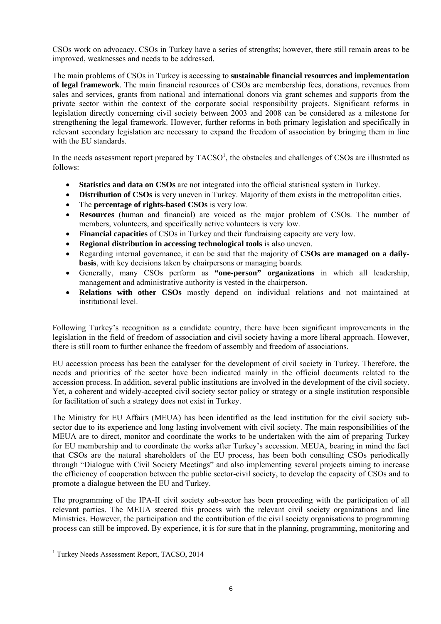CSOs work on advocacy. CSOs in Turkey have a series of strengths; however, there still remain areas to be improved, weaknesses and needs to be addressed.

The main problems of CSOs in Turkey is accessing to **sustainable financial resources and implementation of legal framework**. The main financial resources of CSOs are membership fees, donations, revenues from sales and services, grants from national and international donors via grant schemes and supports from the private sector within the context of the corporate social responsibility projects. Significant reforms in legislation directly concerning civil society between 2003 and 2008 can be considered as a milestone for strengthening the legal framework. However, further reforms in both primary legislation and specifically in relevant secondary legislation are necessary to expand the freedom of association by bringing them in line with the EU standards.

In the needs assessment report prepared by  $TACSO<sup>1</sup>$ , the obstacles and challenges of CSOs are illustrated as follows:

- **Statistics and data on CSOs** are not integrated into the official statistical system in Turkey.
- **Distribution of CSOs** is very uneven in Turkey. Majority of them exists in the metropolitan cities.
- The **percentage of rights-based CSOs** is very low.
- **Resources** (human and financial) are voiced as the major problem of CSOs. The number of members, volunteers, and specifically active volunteers is very low.
- **Financial capacities** of CSOs in Turkey and their fundraising capacity are very low.
- **Regional distribution in accessing technological tools** is also uneven.
- Regarding internal governance, it can be said that the majority of **CSOs are managed on a dailybasis**, with key decisions taken by chairpersons or managing boards.
- Generally, many CSOs perform as **"one-person" organizations** in which all leadership, management and administrative authority is vested in the chairperson.
- **Relations with other CSOs** mostly depend on individual relations and not maintained at institutional level.

Following Turkey's recognition as a candidate country, there have been significant improvements in the legislation in the field of freedom of association and civil society having a more liberal approach. However, there is still room to further enhance the freedom of assembly and freedom of associations.

EU accession process has been the catalyser for the development of civil society in Turkey. Therefore, the needs and priorities of the sector have been indicated mainly in the official documents related to the accession process. In addition, several public institutions are involved in the development of the civil society. Yet, a coherent and widely-accepted civil society sector policy or strategy or a single institution responsible for facilitation of such a strategy does not exist in Turkey.

The Ministry for EU Affairs (MEUA) has been identified as the lead institution for the civil society subsector due to its experience and long lasting involvement with civil society. The main responsibilities of the MEUA are to direct, monitor and coordinate the works to be undertaken with the aim of preparing Turkey for EU membership and to coordinate the works after Turkey's accession. MEUA, bearing in mind the fact that CSOs are the natural shareholders of the EU process, has been both consulting CSOs periodically through "Dialogue with Civil Society Meetings" and also implementing several projects aiming to increase the efficiency of cooperation between the public sector-civil society, to develop the capacity of CSOs and to promote a dialogue between the EU and Turkey.

The programming of the IPA-II civil society sub-sector has been proceeding with the participation of all relevant parties. The MEUA steered this process with the relevant civil society organizations and line Ministries. However, the participation and the contribution of the civil society organisations to programming process can still be improved. By experience, it is for sure that in the planning, programming, monitoring and

 1 Turkey Needs Assessment Report, TACSO, 2014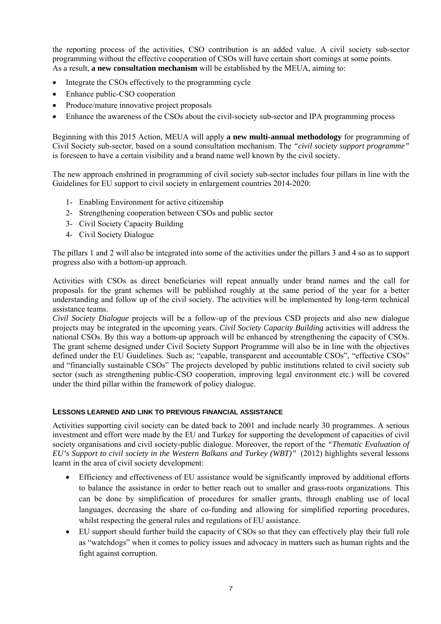the reporting process of the activities, CSO contribution is an added value. A civil society sub-sector programming without the effective cooperation of CSOs will have certain short comings at some points. As a result, **a new consultation mechanism** will be established by the MEUA, aiming to:

- Integrate the CSOs effectively to the programming cycle
- Enhance public-CSO cooperation
- Produce/mature innovative project proposals
- Enhance the awareness of the CSOs about the civil-society sub-sector and IPA programming process

Beginning with this 2015 Action, MEUA will apply **a new multi-annual methodology** for programming of Civil Society sub-sector, based on a sound consultation mechanism. The *"civil society support programme"* is foreseen to have a certain visibility and a brand name well known by the civil society.

The new approach enshrined in programming of civil society sub-sector includes four pillars in line with the Guidelines for EU support to civil society in enlargement countries 2014-2020:

- 1- Enabling Environment for active citizenship
- 2- Strengthening cooperation between CSOs and public sector
- 3- Civil Society Capacity Building
- 4- Civil Society Dialogue

The pillars 1 and 2 will also be integrated into some of the activities under the pillars 3 and 4 so as to support progress also with a bottom-up approach.

Activities with CSOs as direct beneficiaries will repeat annually under brand names and the call for proposals for the grant schemes will be published roughly at the same period of the year for a better understanding and follow up of the civil society. The activities will be implemented by long-term technical assistance teams.

*Civil Society Dialogue* projects will be a follow-up of the previous CSD projects and also new dialogue projects may be integrated in the upcoming years. *Civil Society Capacity Building* activities will address the national CSOs. By this way a bottom-up approach will be enhanced by strengthening the capacity of CSOs. The grant scheme designed under Civil Society Support Programme will also be in line with the objectives defined under the EU Guidelines. Such as; "capable, transparent and accountable CSOs", "effective CSOs" and "financially sustainable CSOs" The projects developed by public institutions related to civil society sub sector (such as strengthening public-CSO cooperation, improving legal environment etc.) will be covered under the third pillar within the framework of policy dialogue.

## **LESSONS LEARNED AND LINK TO PREVIOUS FINANCIAL ASSISTANCE**

Activities supporting civil society can be dated back to 2001 and include nearly 30 programmes. A serious investment and effort were made by the EU and Turkey for supporting the development of capacities of civil society organisations and civil society-public dialogue. Moreover, the report of the *"Thematic Evaluation of EU's Support to civil society in the Western Balkans and Turkey (WBT)"* (2012) highlights several lessons learnt in the area of civil society development:

- Efficiency and effectiveness of EU assistance would be significantly improved by additional efforts to balance the assistance in order to better reach out to smaller and grass-roots organizations. This can be done by simplification of procedures for smaller grants, through enabling use of local languages, decreasing the share of co-funding and allowing for simplified reporting procedures, whilst respecting the general rules and regulations of EU assistance.
- EU support should further build the capacity of CSOs so that they can effectively play their full role as "watchdogs" when it comes to policy issues and advocacy in matters such as human rights and the fight against corruption.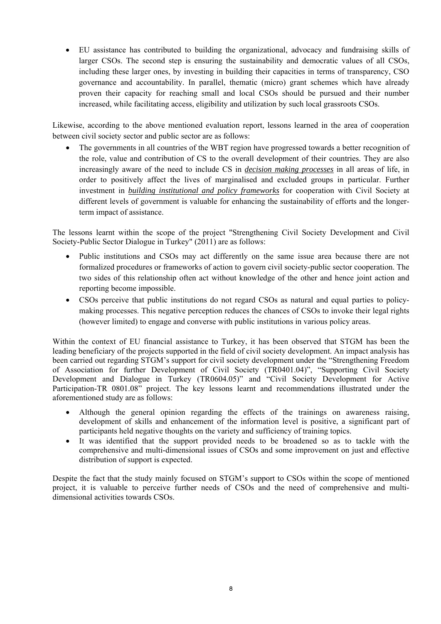• EU assistance has contributed to building the organizational, advocacy and fundraising skills of larger CSOs. The second step is ensuring the sustainability and democratic values of all CSOs, including these larger ones, by investing in building their capacities in terms of transparency, CSO governance and accountability. In parallel, thematic (micro) grant schemes which have already proven their capacity for reaching small and local CSOs should be pursued and their number increased, while facilitating access, eligibility and utilization by such local grassroots CSOs.

Likewise, according to the above mentioned evaluation report, lessons learned in the area of cooperation between civil society sector and public sector are as follows:

The governments in all countries of the WBT region have progressed towards a better recognition of the role, value and contribution of CS to the overall development of their countries. They are also increasingly aware of the need to include CS in *decision making processes* in all areas of life, in order to positively affect the lives of marginalised and excluded groups in particular. Further investment in *building institutional and policy frameworks* for cooperation with Civil Society at different levels of government is valuable for enhancing the sustainability of efforts and the longerterm impact of assistance.

The lessons learnt within the scope of the project "Strengthening Civil Society Development and Civil Society-Public Sector Dialogue in Turkey" (2011) are as follows:

- Public institutions and CSOs may act differently on the same issue area because there are not formalized procedures or frameworks of action to govern civil society-public sector cooperation. The two sides of this relationship often act without knowledge of the other and hence joint action and reporting become impossible.
- CSOs perceive that public institutions do not regard CSOs as natural and equal parties to policymaking processes. This negative perception reduces the chances of CSOs to invoke their legal rights (however limited) to engage and converse with public institutions in various policy areas.

Within the context of EU financial assistance to Turkey, it has been observed that STGM has been the leading beneficiary of the projects supported in the field of civil society development. An impact analysis has been carried out regarding STGM's support for civil society development under the "Strengthening Freedom of Association for further Development of Civil Society (TR0401.04)", "Supporting Civil Society Development and Dialogue in Turkey (TR0604.05)" and "Civil Society Development for Active Participation-TR 0801.08" project. The key lessons learnt and recommendations illustrated under the aforementioned study are as follows:

- Although the general opinion regarding the effects of the trainings on awareness raising, development of skills and enhancement of the information level is positive, a significant part of participants held negative thoughts on the variety and sufficiency of training topics.
- It was identified that the support provided needs to be broadened so as to tackle with the comprehensive and multi-dimensional issues of CSOs and some improvement on just and effective distribution of support is expected.

Despite the fact that the study mainly focused on STGM's support to CSOs within the scope of mentioned project, it is valuable to perceive further needs of CSOs and the need of comprehensive and multidimensional activities towards CSOs.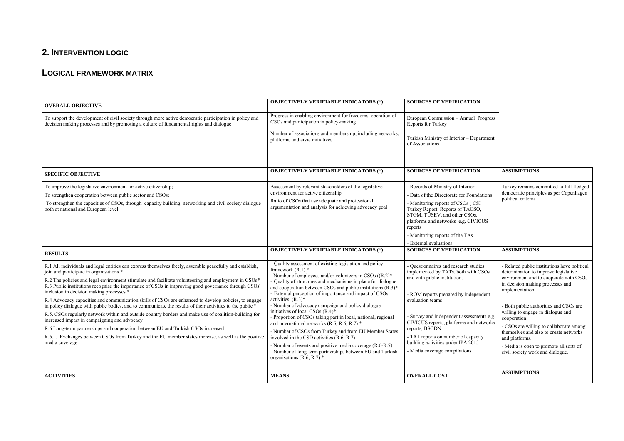# **2. INTERVENTION LOGIC**

#### **LOGICAL FRAMEWORK MATRIX**

| <b>OVERALL OBJECTIVE</b>                                                                                                                                                                                                                                                                                                                                                                                                                                                                                                                                                                                                                                                                                                                                                                                                                                                                                                                                                                                 | <b>OBJECTIVELY VERIFIABLE INDICATORS (*)</b>                                                                                                                                                                                                                                                                                                                                                                                                                                                                                                                                                                                                                                                                                                                                                                                                                           | <b>SOURCES OF VERIFICATION</b>                                                                                                                                                                                                                                                                                                                                                                     |                                                                                                                                                                                                                                                                                                                                                                                                                                                                           |
|----------------------------------------------------------------------------------------------------------------------------------------------------------------------------------------------------------------------------------------------------------------------------------------------------------------------------------------------------------------------------------------------------------------------------------------------------------------------------------------------------------------------------------------------------------------------------------------------------------------------------------------------------------------------------------------------------------------------------------------------------------------------------------------------------------------------------------------------------------------------------------------------------------------------------------------------------------------------------------------------------------|------------------------------------------------------------------------------------------------------------------------------------------------------------------------------------------------------------------------------------------------------------------------------------------------------------------------------------------------------------------------------------------------------------------------------------------------------------------------------------------------------------------------------------------------------------------------------------------------------------------------------------------------------------------------------------------------------------------------------------------------------------------------------------------------------------------------------------------------------------------------|----------------------------------------------------------------------------------------------------------------------------------------------------------------------------------------------------------------------------------------------------------------------------------------------------------------------------------------------------------------------------------------------------|---------------------------------------------------------------------------------------------------------------------------------------------------------------------------------------------------------------------------------------------------------------------------------------------------------------------------------------------------------------------------------------------------------------------------------------------------------------------------|
| To support the development of civil society through more active democratic participation in policy and<br>decision making processes and by promoting a culture of fundamental rights and dialogue                                                                                                                                                                                                                                                                                                                                                                                                                                                                                                                                                                                                                                                                                                                                                                                                        | Progress in enabling environment for freedoms, operation of<br>CSOs and participation in policy-making                                                                                                                                                                                                                                                                                                                                                                                                                                                                                                                                                                                                                                                                                                                                                                 | European Commission - Annual Progress<br>Reports for Turkey                                                                                                                                                                                                                                                                                                                                        |                                                                                                                                                                                                                                                                                                                                                                                                                                                                           |
|                                                                                                                                                                                                                                                                                                                                                                                                                                                                                                                                                                                                                                                                                                                                                                                                                                                                                                                                                                                                          | Number of associations and membership, including networks,<br>platforms and civic initiatives                                                                                                                                                                                                                                                                                                                                                                                                                                                                                                                                                                                                                                                                                                                                                                          | Turkish Ministry of Interior - Department<br>of Associations                                                                                                                                                                                                                                                                                                                                       |                                                                                                                                                                                                                                                                                                                                                                                                                                                                           |
| <b>SPECIFIC OBJECTIVE</b>                                                                                                                                                                                                                                                                                                                                                                                                                                                                                                                                                                                                                                                                                                                                                                                                                                                                                                                                                                                | <b>OBJECTIVELY VERIFIABLE INDICATORS (*)</b>                                                                                                                                                                                                                                                                                                                                                                                                                                                                                                                                                                                                                                                                                                                                                                                                                           | <b>SOURCES OF VERIFICATION</b>                                                                                                                                                                                                                                                                                                                                                                     | <b>ASSUMPTIONS</b>                                                                                                                                                                                                                                                                                                                                                                                                                                                        |
| To improve the legislative environment for active citizenship;<br>To strengthen cooperation between public sector and CSOs;<br>To strengthen the capacities of CSOs, through capacity building, networking and civil society dialogue<br>both at national and European level                                                                                                                                                                                                                                                                                                                                                                                                                                                                                                                                                                                                                                                                                                                             | Assessment by relevant stakeholders of the legislative<br>environment for active citizenship<br>Ratio of CSOs that use adequate and professional<br>argumentation and analysis for achieving advocacy goal                                                                                                                                                                                                                                                                                                                                                                                                                                                                                                                                                                                                                                                             | - Records of Ministry of Interior<br>- Data of the Directorate for Foundations<br>- Monitoring reports of CSOs (CSI<br>Turkey Report, Reports of TACSO,<br>STGM, TÜSEV, and other CSOs,<br>platforms and networks e.g. CIVICUS<br>reports<br>- Monitoring reports of the TAs<br>- External evaluations                                                                                             | Turkey remains committed to full-fledged<br>democratic principles as per Copenhagen<br>political criteria                                                                                                                                                                                                                                                                                                                                                                 |
| <b>RESULTS</b>                                                                                                                                                                                                                                                                                                                                                                                                                                                                                                                                                                                                                                                                                                                                                                                                                                                                                                                                                                                           | <b>OBJECTIVELY VERIFIABLE INDICATORS (*)</b>                                                                                                                                                                                                                                                                                                                                                                                                                                                                                                                                                                                                                                                                                                                                                                                                                           | <b>SOURCES OF VERIFICATION</b>                                                                                                                                                                                                                                                                                                                                                                     | <b>ASSUMPTIONS</b>                                                                                                                                                                                                                                                                                                                                                                                                                                                        |
| R.1 All individuals and legal entities can express themselves freely, assemble peacefully and establish,<br>join and participate in organisations *<br>R.2 The policies and legal environment stimulate and facilitate volunteering and employment in CSOs*<br>R.3 Public institutions recognise the importance of CSOs in improving good governance through CSOs'<br>inclusion in decision making processes *<br>R.4 Advocacy capacities and communication skills of CSOs are enhanced to develop policies, to engage<br>in policy dialogue with public bodies, and to communicate the results of their activities to the public *<br>R.5. CSOs regularly network within and outside country borders and make use of coalition-building for<br>increased impact in campaigning and advocacy<br>R.6 Long-term partnerships and cooperation between EU and Turkish CSOs increased<br>R.6. Exchanges between CSOs from Turkey and the EU member states increase, as well as the positive<br>media coverage | - Quality assessment of existing legislation and policy<br>framework $(R,1)$ *<br>- Number of employees and/or volunteers in CSOs $((R.2)^*$<br>- Quality of structures and mechanisms in place for dialogue<br>and cooperation between CSOs and public institutions $(R.3)^*$<br>- External perception of importance and impact of CSOs<br>activities. $(R.3)$ *<br>- Number of advocacy campaign and policy dialogue<br>initiatives of local CSOs $(R.4)$ <sup>*</sup><br>- Proportion of CSOs taking part in local, national, regional<br>and international networks $(R.5, R.6, R.7)$ <sup>*</sup><br>- Number of CSOs from Turkey and from EU Member States<br>involved in the CSD activities (R.6, R.7)<br>- Number of events and positive media coverage (R.6-R.7)<br>- Number of long-term partnerships between EU and Turkish<br>organisations (R.6, R.7) $*$ | - Questionnaires and research studies<br>implemented by TATs, both with CSOs<br>and with public institutions<br>- ROM reports prepared by independent<br>evaluation teams<br>- Survey and independent assessments e.g.<br>CIVICUS reports, platforms and networks<br>reports, BSCDN.<br>- TAT reports on number of capacity<br>building activities under IPA 2015<br>- Media coverage compilations | - Related public institutions have political<br>determination to improve legislative<br>environment and to cooperate with CSOs<br>in decision making processes and<br>implementation<br>- Both public authorities and CSOs are<br>willing to engage in dialogue and<br>cooperation.<br>- CSOs are willing to collaborate among<br>themselves and also to create networks<br>and platforms.<br>- Media is open to promote all sorts of<br>civil society work and dialogue. |
| <b>ACTIVITIES</b>                                                                                                                                                                                                                                                                                                                                                                                                                                                                                                                                                                                                                                                                                                                                                                                                                                                                                                                                                                                        | <b>MEANS</b>                                                                                                                                                                                                                                                                                                                                                                                                                                                                                                                                                                                                                                                                                                                                                                                                                                                           | <b>OVERALL COST</b>                                                                                                                                                                                                                                                                                                                                                                                | <b>ASSUMPTIONS</b>                                                                                                                                                                                                                                                                                                                                                                                                                                                        |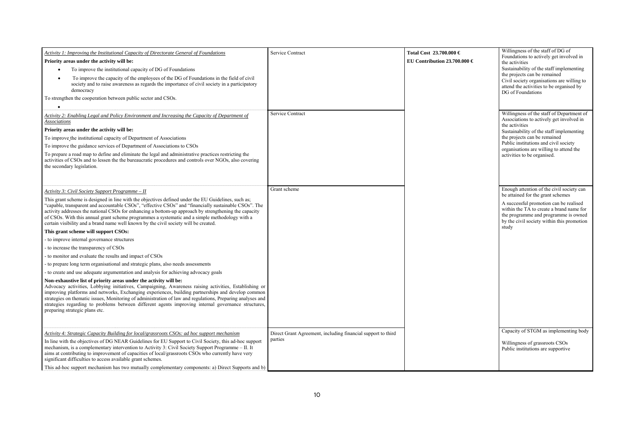| Activity 1: Improving the Institutional Capacity of Directorate General of Foundations<br>Priority areas under the activity will be:<br>To improve the institutional capacity of DG of Foundations<br>To improve the capacity of the employees of the DG of Foundations in the field of civil<br>society and to raise awareness as regards the importance of civil society in a participatory<br>democracy<br>To strengthen the cooperation between public sector and CSOs.<br>$\bullet$                                                                                                                                                                                                                                                                                                                                                                                                                                                                                                                                                                                                                                                                                                                                                                                                                                                                                                                                                                                                 | Service Contract                                                        | Total Cost 23.700.000 €<br>EU Contribution 23.700.000 $\in$ | Willingness of the staff of DG of<br>Foundations to actively get involved in<br>the activities<br>Sustainability of the staff implementing<br>the projects can be remained<br>Civil society organisations are willing to<br>attend the activities to be organised by<br>DG of Foundations              |
|------------------------------------------------------------------------------------------------------------------------------------------------------------------------------------------------------------------------------------------------------------------------------------------------------------------------------------------------------------------------------------------------------------------------------------------------------------------------------------------------------------------------------------------------------------------------------------------------------------------------------------------------------------------------------------------------------------------------------------------------------------------------------------------------------------------------------------------------------------------------------------------------------------------------------------------------------------------------------------------------------------------------------------------------------------------------------------------------------------------------------------------------------------------------------------------------------------------------------------------------------------------------------------------------------------------------------------------------------------------------------------------------------------------------------------------------------------------------------------------|-------------------------------------------------------------------------|-------------------------------------------------------------|--------------------------------------------------------------------------------------------------------------------------------------------------------------------------------------------------------------------------------------------------------------------------------------------------------|
| Activity 2: Enabling Legal and Policy Environment and Increasing the Capacity of Department of<br>Associations<br>Priority areas under the activity will be:<br>To improve the institutional capacity of Department of Associations<br>To improve the guidance services of Department of Associations to CSOs<br>To prepare a road map to define and eliminate the legal and administrative practices restricting the<br>activities of CSOs and to lessen the the bureaucratic procedures and controls over NGOs, also covering<br>the secondary legislation.                                                                                                                                                                                                                                                                                                                                                                                                                                                                                                                                                                                                                                                                                                                                                                                                                                                                                                                            | Service Contract                                                        |                                                             | Willingness of the staff of Department of<br>Associations to actively get involved in<br>the activities<br>Sustainability of the staff implementing<br>the projects can be remained<br>Public institutions and civil society<br>organisations are willing to attend the<br>activities to be organised. |
| Activity 3: Civil Society Support Programme - II<br>This grant scheme is designed in line with the objectives defined under the EU Guidelines, such as;<br>"capable, transparent and accountable CSOs", "effective CSOs" and "financially sustainable CSOs". The<br>activity addresses the national CSOs for enhancing a bottom-up approach by strengthening the capacity<br>of CSOs. With this annual grant scheme programmes a systematic and a simple methodology with a<br>certain visibility and a brand name well known by the civil society will be created.<br>This grant scheme will support CSOs:<br>- to improve internal governance structures<br>- to increase the transparency of CSOs<br>- to monitor and evaluate the results and impact of CSOs<br>- to prepare long term organisational and strategic plans, also needs assessments<br>- to create and use adequate argumentation and analysis for achieving advocacy goals<br>Non-exhaustive list of priority areas under the activity will be:<br>Advocacy activities, Lobbying initiatives, Campaigning, Awareness raising activities, Establishing or<br>improving platforms and networks, Exchanging experiences, building partnerships and develop common<br>strategies on thematic issues, Monitoring of administration of law and regulations, Preparing analyses and<br>strategies regarding to problems between different agents improving internal governance structures.<br>preparing strategic plans etc. | Grant scheme                                                            |                                                             | Enough attention of the civil society can<br>be attained for the grant schemes<br>A successful promotion can be realised<br>within the TA to create a brand name for<br>the programme and programme is owned<br>by the civil society within this promotion<br>study                                    |
| Activity 4: Strategic Capacity Building for local/grassroots CSOs: ad hoc support mechanism<br>In line with the objectives of DG NEAR Guidelines for EU Support to Civil Society, this ad-hoc support<br>mechanism, is a complementary intervention to Activity 3: Civil Society Support Programme – II. It<br>aims at contributing to improvement of capacities of local/grassroots CSOs who currently have very<br>significant difficulties to access available grant schemes.<br>This ad-hoc support mechanism has two mutually complementary components: a) Direct Supports and b)                                                                                                                                                                                                                                                                                                                                                                                                                                                                                                                                                                                                                                                                                                                                                                                                                                                                                                   | Direct Grant Agreement, including financial support to third<br>parties |                                                             | Capacity of STGM as implementing body<br>Willingness of grassroots CSOs<br>Public institutions are supportive                                                                                                                                                                                          |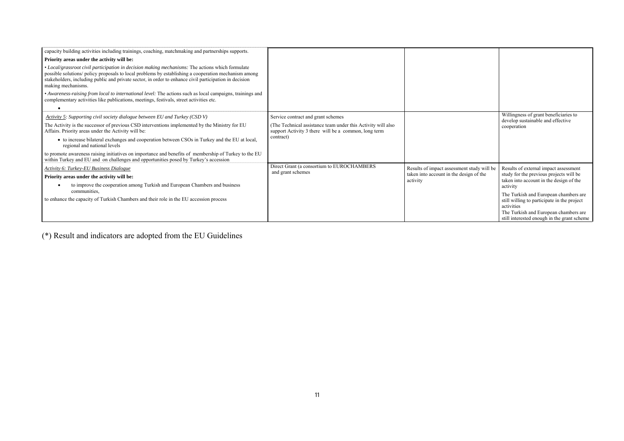| capacity building activities including trainings, coaching, matchmaking and partnerships supports.                                                                                                                                                                                                                                       |                                                                                                                      |                                                     |                                                                                      |
|------------------------------------------------------------------------------------------------------------------------------------------------------------------------------------------------------------------------------------------------------------------------------------------------------------------------------------------|----------------------------------------------------------------------------------------------------------------------|-----------------------------------------------------|--------------------------------------------------------------------------------------|
| Priority areas under the activity will be:                                                                                                                                                                                                                                                                                               |                                                                                                                      |                                                     |                                                                                      |
| • Local/grassroot civil participation in decision making mechanisms: The actions which formulate<br>possible solutions/ policy proposals to local problems by establishing a cooperation mechanism among<br>stakeholders, including public and private sector, in order to enhance civil participation in decision<br>making mechanisms. |                                                                                                                      |                                                     |                                                                                      |
| • Awareness-raising from local to international level: The actions such as local campaigns, trainings and<br>complementary activities like publications, meetings, festivals, street activities etc.                                                                                                                                     |                                                                                                                      |                                                     |                                                                                      |
| Activity 5: Supporting civil society dialogue between EU and Turkey (CSD V)                                                                                                                                                                                                                                                              | Service contract and grant schemes                                                                                   |                                                     | Willingness of grant beneficiaries to                                                |
| The Activity is the successor of previous CSD interventions implemented by the Ministry for EU<br>Affairs. Priority areas under the Activity will be:                                                                                                                                                                                    | (The Technical assistance team under this Activity will also<br>support Activity 3 there will be a common, long term |                                                     | develop sustainable and effective<br>cooperation                                     |
| • to increase bilateral exchanges and cooperation between CSOs in Turkey and the EU at local,<br>regional and national levels                                                                                                                                                                                                            | contract)                                                                                                            |                                                     |                                                                                      |
| to promote awareness raising initiatives on importance and benefits of membership of Turkey to the EU<br>within Turkey and EU and on challenges and opportunities posed by Turkey's accession                                                                                                                                            |                                                                                                                      |                                                     |                                                                                      |
| Activity 6: Turkey-EU Business Dialogue                                                                                                                                                                                                                                                                                                  | Direct Grant (a consortium to EUROCHAMBERS                                                                           | Results of impact assessment study will be          | Results of external impact assessment                                                |
| Priority areas under the activity will be:                                                                                                                                                                                                                                                                                               | and grant schemes                                                                                                    | taken into account in the design of the<br>activity | study for the previous projects will be<br>taken into account in the design of the   |
| to improve the cooperation among Turkish and European Chambers and business                                                                                                                                                                                                                                                              |                                                                                                                      |                                                     | activity                                                                             |
| communities.                                                                                                                                                                                                                                                                                                                             |                                                                                                                      |                                                     | The Turkish and European chambers are                                                |
| to enhance the capacity of Turkish Chambers and their role in the EU accession process                                                                                                                                                                                                                                                   |                                                                                                                      |                                                     | still willing to participate in the project<br>activities                            |
|                                                                                                                                                                                                                                                                                                                                          |                                                                                                                      |                                                     | The Turkish and European chambers are<br>still interested enough in the grant scheme |

(\*) Result and indicators are adopted from the EU Guidelines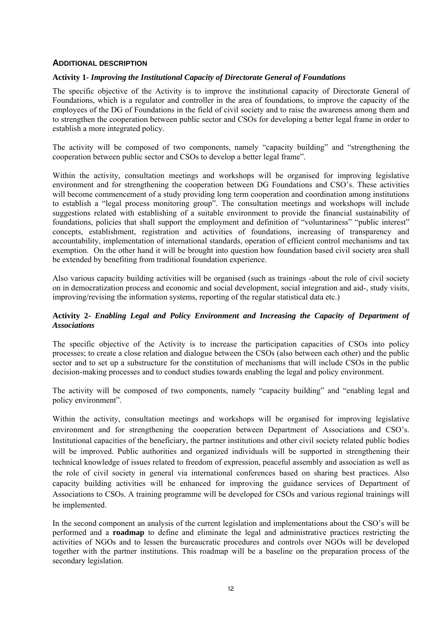# **ADDITIONAL DESCRIPTION**

# **Activity 1-** *Improving the Institutional Capacity of Directorate General of Foundations*

The specific objective of the Activity is to improve the institutional capacity of Directorate General of Foundations, which is a regulator and controller in the area of foundations, to improve the capacity of the employees of the DG of Foundations in the field of civil society and to raise the awareness among them and to strengthen the cooperation between public sector and CSOs for developing a better legal frame in order to establish a more integrated policy.

The activity will be composed of two components, namely "capacity building" and "strengthening the cooperation between public sector and CSOs to develop a better legal frame".

Within the activity, consultation meetings and workshops will be organised for improving legislative environment and for strengthening the cooperation between DG Foundations and CSO's. These activities will become commencement of a study providing long term cooperation and coordination among institutions to establish a "legal process monitoring group". The consultation meetings and workshops will include suggestions related with establishing of a suitable environment to provide the financial sustainability of foundations, policies that shall support the employment and definition of "voluntariness" "public interest" concepts, establishment, registration and activities of foundations, increasing of transparency and accountability, implementation of international standards, operation of efficient control mechanisms and tax exemption. On the other hand it will be brought into question how foundation based civil society area shall be extended by benefiting from traditional foundation experience.

Also various capacity building activities will be organised (such as trainings -about the role of civil society on in democratization process and economic and social development, social integration and aid-, study visits, improving/revising the information systems, reporting of the regular statistical data etc.)

# **Activity 2-** *Enabling Legal and Policy Environment and Increasing the Capacity of Department of Associations*

The specific objective of the Activity is to increase the participation capacities of CSOs into policy processes; to create a close relation and dialogue between the CSOs (also between each other) and the public sector and to set up a substructure for the constitution of mechanisms that will include CSOs in the public decision-making processes and to conduct studies towards enabling the legal and policy environment.

The activity will be composed of two components, namely "capacity building" and "enabling legal and policy environment".

Within the activity, consultation meetings and workshops will be organised for improving legislative environment and for strengthening the cooperation between Department of Associations and CSO's. Institutional capacities of the beneficiary, the partner institutions and other civil society related public bodies will be improved. Public authorities and organized individuals will be supported in strengthening their technical knowledge of issues related to freedom of expression, peaceful assembly and association as well as the role of civil society in general via international conferences based on sharing best practices. Also capacity building activities will be enhanced for improving the guidance services of Department of Associations to CSOs. A training programme will be developed for CSOs and various regional trainings will be implemented.

In the second component an analysis of the current legislation and implementations about the CSO's will be performed and a **roadmap** to define and eliminate the legal and administrative practices restricting the activities of NGOs and to lessen the bureaucratic procedures and controls over NGOs will be developed together with the partner institutions. This roadmap will be a baseline on the preparation process of the secondary legislation.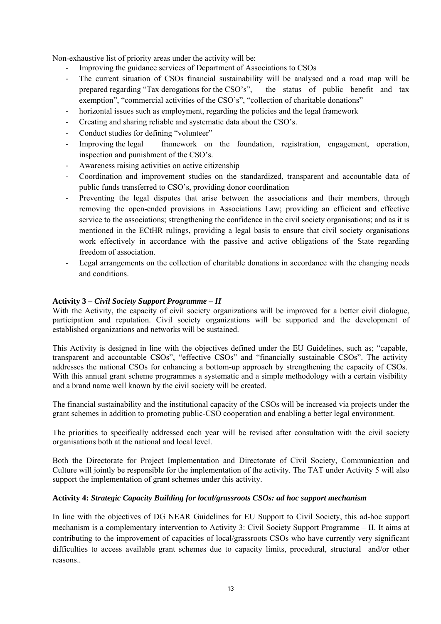Non-exhaustive list of priority areas under the activity will be:

- Improving the guidance services of Department of Associations to CSOs
- The current situation of CSOs financial sustainability will be analysed and a road map will be prepared regarding "Tax derogations for the CSO's", the status of public benefit and tax exemption", "commercial activities of the CSO's", "collection of charitable donations"
- horizontal issues such as employment, regarding the policies and the legal framework
- Creating and sharing reliable and systematic data about the CSO's.
- Conduct studies for defining "volunteer"
- Improving the legal framework on the foundation, registration, engagement, operation, inspection and punishment of the CSO's.
- Awareness raising activities on active citizenship
- Coordination and improvement studies on the standardized, transparent and accountable data of public funds transferred to CSO's, providing donor coordination
- Preventing the legal disputes that arise between the associations and their members, through removing the open-ended provisions in Associations Law; providing an efficient and effective service to the associations; strengthening the confidence in the civil society organisations; and as it is mentioned in the ECtHR rulings, providing a legal basis to ensure that civil society organisations work effectively in accordance with the passive and active obligations of the State regarding freedom of association.
- Legal arrangements on the collection of charitable donations in accordance with the changing needs and conditions.

# **Activity 3 –** *Civil Society Support Programme – II*

With the Activity, the capacity of civil society organizations will be improved for a better civil dialogue, participation and reputation. Civil society organizations will be supported and the development of established organizations and networks will be sustained.

This Activity is designed in line with the objectives defined under the EU Guidelines, such as; "capable, transparent and accountable CSOs", "effective CSOs" and "financially sustainable CSOs". The activity addresses the national CSOs for enhancing a bottom-up approach by strengthening the capacity of CSOs. With this annual grant scheme programmes a systematic and a simple methodology with a certain visibility and a brand name well known by the civil society will be created.

The financial sustainability and the institutional capacity of the CSOs will be increased via projects under the grant schemes in addition to promoting public-CSO cooperation and enabling a better legal environment.

The priorities to specifically addressed each year will be revised after consultation with the civil society organisations both at the national and local level.

Both the Directorate for Project Implementation and Directorate of Civil Society, Communication and Culture will jointly be responsible for the implementation of the activity. The TAT under Activity 5 will also support the implementation of grant schemes under this activity.

## **Activity 4:** *Strategic Capacity Building for local/grassroots CSOs: ad hoc support mechanism*

In line with the objectives of DG NEAR Guidelines for EU Support to Civil Society, this ad-hoc support mechanism is a complementary intervention to Activity 3: Civil Society Support Programme – II. It aims at contributing to the improvement of capacities of local/grassroots CSOs who have currently very significant difficulties to access available grant schemes due to capacity limits, procedural, structural and/or other reasons..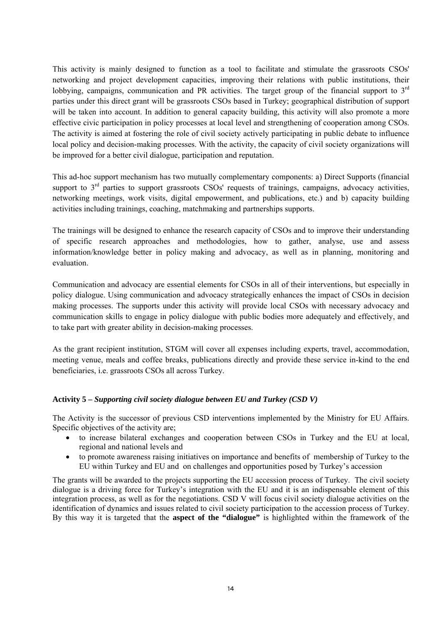This activity is mainly designed to function as a tool to facilitate and stimulate the grassroots CSOs' networking and project development capacities, improving their relations with public institutions, their lobbying, campaigns, communication and PR activities. The target group of the financial support to 3<sup>rd</sup> parties under this direct grant will be grassroots CSOs based in Turkey; geographical distribution of support will be taken into account. In addition to general capacity building, this activity will also promote a more effective civic participation in policy processes at local level and strengthening of cooperation among CSOs. The activity is aimed at fostering the role of civil society actively participating in public debate to influence local policy and decision-making processes. With the activity, the capacity of civil society organizations will be improved for a better civil dialogue, participation and reputation.

This ad-hoc support mechanism has two mutually complementary components: a) Direct Supports (financial support to  $3<sup>rd</sup>$  parties to support grassroots CSOs' requests of trainings, campaigns, advocacy activities, networking meetings, work visits, digital empowerment, and publications, etc.) and b) capacity building activities including trainings, coaching, matchmaking and partnerships supports.

The trainings will be designed to enhance the research capacity of CSOs and to improve their understanding of specific research approaches and methodologies, how to gather, analyse, use and assess information/knowledge better in policy making and advocacy, as well as in planning, monitoring and evaluation.

Communication and advocacy are essential elements for CSOs in all of their interventions, but especially in policy dialogue. Using communication and advocacy strategically enhances the impact of CSOs in decision making processes. The supports under this activity will provide local CSOs with necessary advocacy and communication skills to engage in policy dialogue with public bodies more adequately and effectively, and to take part with greater ability in decision-making processes.

As the grant recipient institution, STGM will cover all expenses including experts, travel, accommodation, meeting venue, meals and coffee breaks, publications directly and provide these service in-kind to the end beneficiaries, i.e. grassroots CSOs all across Turkey.

# **Activity 5 –** *Supporting civil society dialogue between EU and Turkey (CSD V)*

The Activity is the successor of previous CSD interventions implemented by the Ministry for EU Affairs. Specific objectives of the activity are;

- to increase bilateral exchanges and cooperation between CSOs in Turkey and the EU at local, regional and national levels and
- to promote awareness raising initiatives on importance and benefits of membership of Turkey to the EU within Turkey and EU and on challenges and opportunities posed by Turkey's accession

The grants will be awarded to the projects supporting the EU accession process of Turkey. The civil society dialogue is a driving force for Turkey's integration with the EU and it is an indispensable element of this integration process, as well as for the negotiations. CSD V will focus civil society dialogue activities on the identification of dynamics and issues related to civil society participation to the accession process of Turkey. By this way it is targeted that the **aspect of the "dialogue"** is highlighted within the framework of the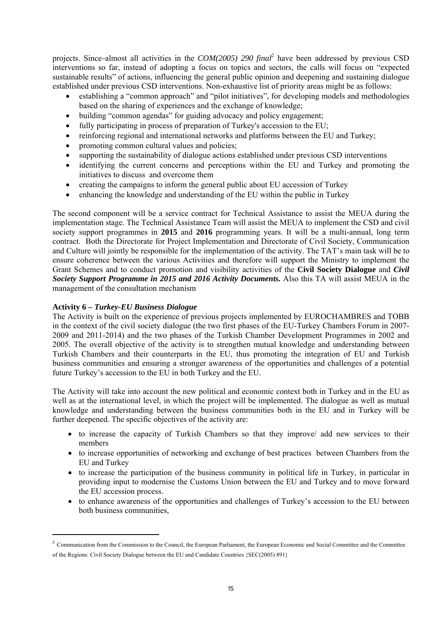projects. Since almost all activities in the *COM(2005) 290 final*<sup>2</sup> have been addressed by previous CSD interventions so far, instead of adopting a focus on topics and sectors, the calls will focus on "expected sustainable results" of actions, influencing the general public opinion and deepening and sustaining dialogue established under previous CSD interventions. Non-exhaustive list of priority areas might be as follows:

- establishing a "common approach" and "pilot initiatives", for developing models and methodologies based on the sharing of experiences and the exchange of knowledge;
- building "common agendas" for guiding advocacy and policy engagement;
- fully participating in process of preparation of Turkey's accession to the EU;
- reinforcing regional and international networks and platforms between the EU and Turkey;
- promoting common cultural values and policies;
- supporting the sustainability of dialogue actions established under previous CSD interventions
- identifying the current concerns and perceptions within the EU and Turkey and promoting the initiatives to discuss and overcome them
- creating the campaigns to inform the general public about EU accession of Turkey
- enhancing the knowledge and understanding of the EU within the public in Turkey

The second component will be a service contract for Technical Assistance to assist the MEUA during the implementation stage. The Technical Assistance Team will assist the MEUA to implement the CSD and civil society support programmes in **2015** and **2016** programming years. It will be a multi-annual, long term contract. Both the Directorate for Project Implementation and Directorate of Civil Society, Communication and Culture will jointly be responsible for the implementation of the activity. The TAT's main task will be to ensure coherence between the various Activities and therefore will support the Ministry to implement the Grant Schemes and to conduct promotion and visibility activities of the **Civil Society Dialogue** and *Civil Society Support Programme in 2015 and 2016 Activity Documents.* Also this TA will assist MEUA in the management of the consultation mechanism

## **Activity 6 –** *Turkey-EU Business Dialogue*

**.** 

The Activity is built on the experience of previous projects implemented by EUROCHAMBRES and TOBB in the context of the civil society dialogue (the two first phases of the EU-Turkey Chambers Forum in 2007- 2009 and 2011-2014) and the two phases of the Turkish Chamber Development Programmes in 2002 and 2005. The overall objective of the activity is to strengthen mutual knowledge and understanding between Turkish Chambers and their counterparts in the EU, thus promoting the integration of EU and Turkish business communities and ensuring a stronger awareness of the opportunities and challenges of a potential future Turkey's accession to the EU in both Turkey and the EU.

The Activity will take into account the new political and economic context both in Turkey and in the EU as well as at the international level, in which the project will be implemented. The dialogue as well as mutual knowledge and understanding between the business communities both in the EU and in Turkey will be further deepened. The specific objectives of the activity are:

- to increase the capacity of Turkish Chambers so that they improve/ add new services to their members
- to increase opportunities of networking and exchange of best practices between Chambers from the EU and Turkey
- to increase the participation of the business community in political life in Turkey, in particular in providing input to modernise the Customs Union between the EU and Turkey and to move forward the EU accession process.
- to enhance awareness of the opportunities and challenges of Turkey's accession to the EU between both business communities,

<sup>&</sup>lt;sup>2</sup> Communication from the Commission to the Council, the European Parliament, the European Economic and Social Committee and the Committee of the Regions: Civil Society Dialogue between the EU and Candidate Countries {SEC(2005) 891}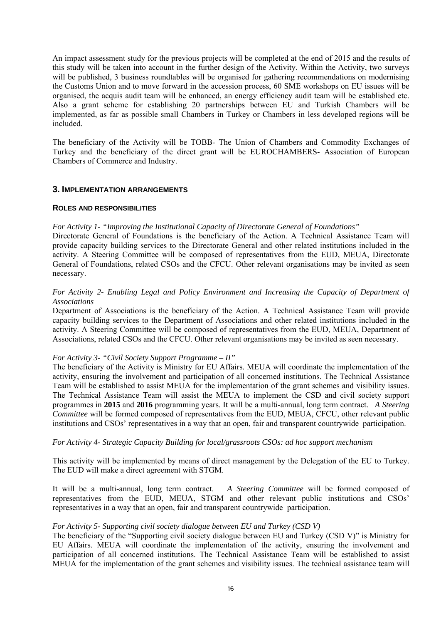An impact assessment study for the previous projects will be completed at the end of 2015 and the results of this study will be taken into account in the further design of the Activity. Within the Activity, two surveys will be published, 3 business roundtables will be organised for gathering recommendations on modernising the Customs Union and to move forward in the accession process, 60 SME workshops on EU issues will be organised, the acquis audit team will be enhanced, an energy efficiency audit team will be established etc. Also a grant scheme for establishing 20 partnerships between EU and Turkish Chambers will be implemented, as far as possible small Chambers in Turkey or Chambers in less developed regions will be included.

The beneficiary of the Activity will be TOBB- The Union of Chambers and Commodity Exchanges of Turkey and the beneficiary of the direct grant will be EUROCHAMBERS- Association of European Chambers of Commerce and Industry.

## **3. IMPLEMENTATION ARRANGEMENTS**

#### **ROLES AND RESPONSIBILITIES**

#### *For Activity 1- "Improving the Institutional Capacity of Directorate General of Foundations"*

Directorate General of Foundations is the beneficiary of the Action. A Technical Assistance Team will provide capacity building services to the Directorate General and other related institutions included in the activity. A Steering Committee will be composed of representatives from the EUD, MEUA, Directorate General of Foundations, related CSOs and the CFCU. Other relevant organisations may be invited as seen necessary.

## *For Activity 2- Enabling Legal and Policy Environment and Increasing the Capacity of Department of Associations*

Department of Associations is the beneficiary of the Action. A Technical Assistance Team will provide capacity building services to the Department of Associations and other related institutions included in the activity. A Steering Committee will be composed of representatives from the EUD, MEUA, Department of Associations, related CSOs and the CFCU. Other relevant organisations may be invited as seen necessary.

#### *For Activity 3- "Civil Society Support Programme – II"*

The beneficiary of the Activity is Ministry for EU Affairs. MEUA will coordinate the implementation of the activity, ensuring the involvement and participation of all concerned institutions. The Technical Assistance Team will be established to assist MEUA for the implementation of the grant schemes and visibility issues. The Technical Assistance Team will assist the MEUA to implement the CSD and civil society support programmes in **2015** and **2016** programming years. It will be a multi-annual, long term contract. *A Steering Committee* will be formed composed of representatives from the EUD, MEUA, CFCU, other relevant public institutions and CSOs' representatives in a way that an open, fair and transparent countrywide participation.

#### *For Activity 4- Strategic Capacity Building for local/grassroots CSOs: ad hoc support mechanism*

This activity will be implemented by means of direct management by the Delegation of the EU to Turkey. The EUD will make a direct agreement with STGM.

It will be a multi-annual, long term contract. *A Steering Committee* will be formed composed of representatives from the EUD, MEUA, STGM and other relevant public institutions and CSOs' representatives in a way that an open, fair and transparent countrywide participation.

#### *For Activity 5- Supporting civil society dialogue between EU and Turkey (CSD V)*

The beneficiary of the "Supporting civil society dialogue between EU and Turkey (CSD V)" is Ministry for EU Affairs. MEUA will coordinate the implementation of the activity, ensuring the involvement and participation of all concerned institutions. The Technical Assistance Team will be established to assist MEUA for the implementation of the grant schemes and visibility issues. The technical assistance team will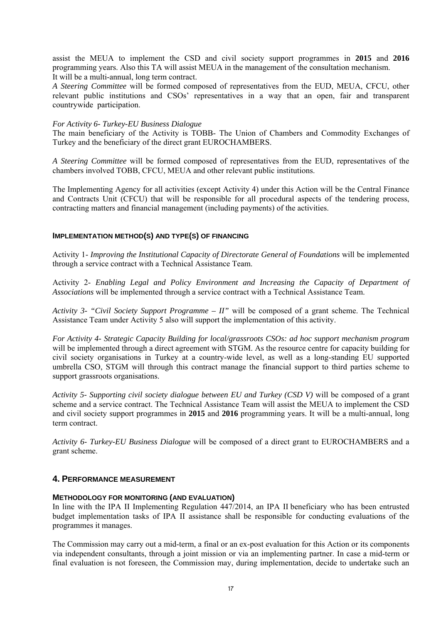assist the MEUA to implement the CSD and civil society support programmes in **2015** and **2016** programming years. Also this TA will assist MEUA in the management of the consultation mechanism. It will be a multi-annual, long term contract.

*A Steering Committee* will be formed composed of representatives from the EUD, MEUA, CFCU, other relevant public institutions and CSOs' representatives in a way that an open, fair and transparent countrywide participation.

#### *For Activity 6- Turkey-EU Business Dialogue*

The main beneficiary of the Activity is TOBB- The Union of Chambers and Commodity Exchanges of Turkey and the beneficiary of the direct grant EUROCHAMBERS.

*A Steering Committee* will be formed composed of representatives from the EUD, representatives of the chambers involved TOBB, CFCU, MEUA and other relevant public institutions.

The Implementing Agency for all activities (except Activity 4) under this Action will be the Central Finance and Contracts Unit (CFCU) that will be responsible for all procedural aspects of the tendering process, contracting matters and financial management (including payments) of the activities.

## **IMPLEMENTATION METHOD(S) AND TYPE(S) OF FINANCING**

Activity 1- *Improving the Institutional Capacity of Directorate General of Foundations* will be implemented through a service contract with a Technical Assistance Team.

Activity 2- *Enabling Legal and Policy Environment and Increasing the Capacity of Department of Associations* will be implemented through a service contract with a Technical Assistance Team.

*Activity 3- "Civil Society Support Programme – II"* will be composed of a grant scheme. The Technical Assistance Team under Activity 5 also will support the implementation of this activity.

*For Activity 4- Strategic Capacity Building for local/grassroots CSOs: ad hoc support mechanism program*  will be implemented through a direct agreement with STGM. As the resource centre for capacity building for civil society organisations in Turkey at a country-wide level, as well as a long-standing EU supported umbrella CSO, STGM will through this contract manage the financial support to third parties scheme to support grassroots organisations.

*Activity 5- Supporting civil society dialogue between EU and Turkey (CSD V)* will be composed of a grant scheme and a service contract. The Technical Assistance Team will assist the MEUA to implement the CSD and civil society support programmes in **2015** and **2016** programming years. It will be a multi-annual, long term contract.

*Activity 6- Turkey-EU Business Dialogue* will be composed of a direct grant to EUROCHAMBERS and a grant scheme.

## **4. PERFORMANCE MEASUREMENT**

## **METHODOLOGY FOR MONITORING (AND EVALUATION)**

In line with the IPA II Implementing Regulation 447/2014, an IPA II beneficiary who has been entrusted budget implementation tasks of IPA II assistance shall be responsible for conducting evaluations of the programmes it manages.

The Commission may carry out a mid-term, a final or an ex-post evaluation for this Action or its components via independent consultants, through a joint mission or via an implementing partner. In case a mid-term or final evaluation is not foreseen, the Commission may, during implementation, decide to undertake such an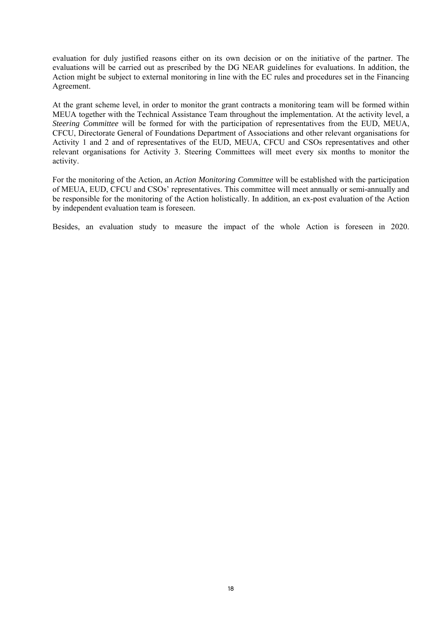evaluation for duly justified reasons either on its own decision or on the initiative of the partner. The evaluations will be carried out as prescribed by the DG NEAR guidelines for evaluations. In addition, the Action might be subject to external monitoring in line with the EC rules and procedures set in the Financing Agreement.

At the grant scheme level, in order to monitor the grant contracts a monitoring team will be formed within MEUA together with the Technical Assistance Team throughout the implementation. At the activity level, a *Steering Committee* will be formed for with the participation of representatives from the EUD, MEUA, CFCU, Directorate General of Foundations Department of Associations and other relevant organisations for Activity 1 and 2 and of representatives of the EUD, MEUA, CFCU and CSOs representatives and other relevant organisations for Activity 3. Steering Committees will meet every six months to monitor the activity.

For the monitoring of the Action, an *Action Monitoring Committee* will be established with the participation of MEUA, EUD, CFCU and CSOs' representatives. This committee will meet annually or semi-annually and be responsible for the monitoring of the Action holistically. In addition, an ex-post evaluation of the Action by independent evaluation team is foreseen.

Besides, an evaluation study to measure the impact of the whole Action is foreseen in 2020.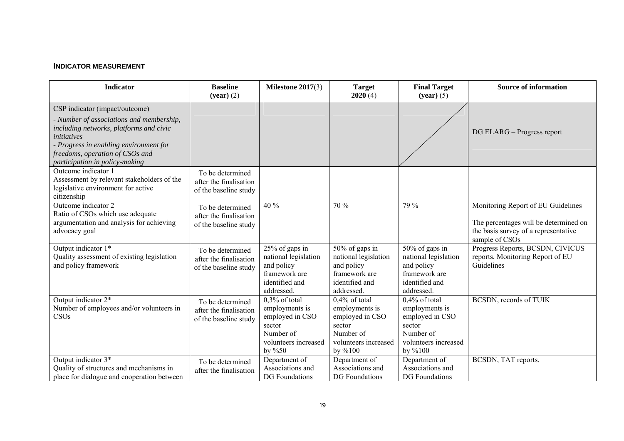# **INDICATOR MEASUREMENT**

| <b>Indicator</b>                                                                                                                                                                                                                                    | <b>Baseline</b><br>$(year)$ (2)                                     | Milestone $2017(3)$                                                                                               | <b>Target</b><br>2020(4)                                                                                        | <b>Final Target</b><br>$(year)$ (5)                                                                             | <b>Source of information</b>                                                                                                          |
|-----------------------------------------------------------------------------------------------------------------------------------------------------------------------------------------------------------------------------------------------------|---------------------------------------------------------------------|-------------------------------------------------------------------------------------------------------------------|-----------------------------------------------------------------------------------------------------------------|-----------------------------------------------------------------------------------------------------------------|---------------------------------------------------------------------------------------------------------------------------------------|
| CSP indicator (impact/outcome)<br>- Number of associations and membership,<br>including networks, platforms and civic<br>initiatives<br>- Progress in enabling environment for<br>freedoms, operation of CSOs and<br>participation in policy-making |                                                                     |                                                                                                                   |                                                                                                                 |                                                                                                                 | DG ELARG – Progress report                                                                                                            |
| Outcome indicator 1<br>Assessment by relevant stakeholders of the<br>legislative environment for active<br>citizenship                                                                                                                              | To be determined<br>after the finalisation<br>of the baseline study |                                                                                                                   |                                                                                                                 |                                                                                                                 |                                                                                                                                       |
| Outcome indicator 2<br>Ratio of CSOs which use adequate<br>argumentation and analysis for achieving<br>advocacy goal                                                                                                                                | To be determined<br>after the finalisation<br>of the baseline study | 40 %                                                                                                              | 70 %                                                                                                            | 79 %                                                                                                            | Monitoring Report of EU Guidelines<br>The percentages will be determined on<br>the basis survey of a representative<br>sample of CSOs |
| Output indicator 1*<br>Quality assessment of existing legislation<br>and policy framework                                                                                                                                                           | To be determined<br>after the finalisation<br>of the baseline study | 25% of gaps in<br>national legislation<br>and policy<br>framework are<br>identified and<br>addressed.             | 50% of gaps in<br>national legislation<br>and policy<br>framework are<br>identified and<br>addressed.           | 50% of gaps in<br>national legislation<br>and policy<br>framework are<br>identified and<br>addressed            | Progress Reports, BCSDN, CIVICUS<br>reports, Monitoring Report of EU<br>Guidelines                                                    |
| Output indicator 2*<br>Number of employees and/or volunteers in<br>CSO <sub>s</sub>                                                                                                                                                                 | To be determined<br>after the finalisation<br>of the baseline study | $0.3\%$ of total<br>employments is<br>employed in CSO<br>sector<br>Number of<br>volunteers increased<br>by $\%50$ | $0.4\%$ of total<br>employments is<br>employed in CSO<br>sector<br>Number of<br>volunteers increased<br>by %100 | $0.4\%$ of total<br>employments is<br>employed in CSO<br>sector<br>Number of<br>volunteers increased<br>by %100 | BCSDN, records of TUIK                                                                                                                |
| Output indicator 3*<br>Quality of structures and mechanisms in<br>place for dialogue and cooperation between                                                                                                                                        | To be determined<br>after the finalisation                          | Department of<br>Associations and<br>DG Foundations                                                               | Department of<br>Associations and<br><b>DG</b> Foundations                                                      | Department of<br>Associations and<br>DG Foundations                                                             | BCSDN, TAT reports.                                                                                                                   |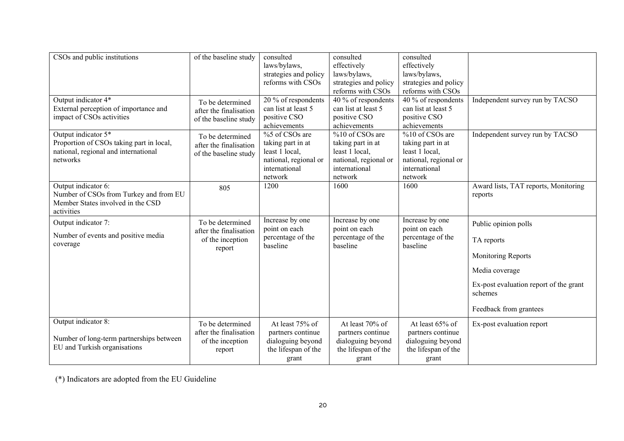| CSOs and public institutions                                                                                        | of the baseline study                                                    | consulted<br>laws/bylaws,<br>strategies and policy<br>reforms with CSOs                                    | consulted<br>effectively<br>laws/bylaws,<br>strategies and policy<br>reforms with CSOs                      | consulted<br>effectively<br>laws/bylaws,<br>strategies and policy<br>reforms with CSOs                      |                                                                                                                                                           |
|---------------------------------------------------------------------------------------------------------------------|--------------------------------------------------------------------------|------------------------------------------------------------------------------------------------------------|-------------------------------------------------------------------------------------------------------------|-------------------------------------------------------------------------------------------------------------|-----------------------------------------------------------------------------------------------------------------------------------------------------------|
| Output indicator 4*<br>External perception of importance and<br>impact of CSOs activities                           | To be determined<br>after the finalisation<br>of the baseline study      | 20 % of respondents<br>can list at least 5<br>positive CSO<br>achievements                                 | $\overline{40\%}$ of respondents<br>can list at least 5<br>positive CSO<br>achievements                     | $\overline{40\%}$ of respondents<br>can list at least 5<br>positive CSO<br>achievements                     | Independent survey run by TACSO                                                                                                                           |
| Output indicator 5*<br>Proportion of CSOs taking part in local,<br>national, regional and international<br>networks | To be determined<br>after the finalisation<br>of the baseline study      | %5 of CSOs are<br>taking part in at<br>least 1 local,<br>national, regional or<br>international<br>network | %10 of CSOs are<br>taking part in at<br>least 1 local,<br>national, regional or<br>international<br>network | %10 of CSOs are<br>taking part in at<br>least 1 local,<br>national, regional or<br>international<br>network | Independent survey run by TACSO                                                                                                                           |
| Output indicator 6:<br>Number of CSOs from Turkey and from EU<br>Member States involved in the CSD<br>activities    | 805                                                                      | 1200                                                                                                       | 1600                                                                                                        | 1600                                                                                                        | Award lists, TAT reports, Monitoring<br>reports                                                                                                           |
| Output indicator 7:<br>Number of events and positive media<br>coverage                                              | To be determined<br>after the finalisation<br>of the inception<br>report | Increase by one<br>point on each<br>percentage of the<br>baseline                                          | Increase by one<br>point on each<br>percentage of the<br>baseline                                           | Increase by one<br>point on each<br>percentage of the<br>baseline                                           | Public opinion polls<br>TA reports<br>Monitoring Reports<br>Media coverage<br>Ex-post evaluation report of the grant<br>schemes<br>Feedback from grantees |
| Output indicator 8:<br>Number of long-term partnerships between<br>EU and Turkish organisations                     | To be determined<br>after the finalisation<br>of the inception<br>report | At least 75% of<br>partners continue<br>dialoguing beyond<br>the lifespan of the<br>grant                  | At least 70% of<br>partners continue<br>dialoguing beyond<br>the lifespan of the<br>grant                   | At least 65% of<br>partners continue<br>dialoguing beyond<br>the lifespan of the<br>grant                   | Ex-post evaluation report                                                                                                                                 |

(\*) Indicators are adopted from the EU Guideline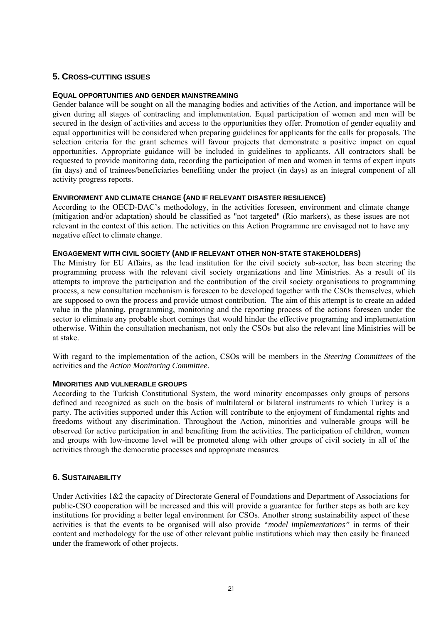# **5. CROSS-CUTTING ISSUES**

## **EQUAL OPPORTUNITIES AND GENDER MAINSTREAMING**

Gender balance will be sought on all the managing bodies and activities of the Action, and importance will be given during all stages of contracting and implementation. Equal participation of women and men will be secured in the design of activities and access to the opportunities they offer. Promotion of gender equality and equal opportunities will be considered when preparing guidelines for applicants for the calls for proposals. The selection criteria for the grant schemes will favour projects that demonstrate a positive impact on equal opportunities. Appropriate guidance will be included in guidelines to applicants. All contractors shall be requested to provide monitoring data, recording the participation of men and women in terms of expert inputs (in days) and of trainees/beneficiaries benefiting under the project (in days) as an integral component of all activity progress reports.

#### **ENVIRONMENT AND CLIMATE CHANGE (AND IF RELEVANT DISASTER RESILIENCE)**

According to the OECD-DAC's methodology, in the activities foreseen, environment and climate change (mitigation and/or adaptation) should be classified as "not targeted" (Rio markers), as these issues are not relevant in the context of this action. The activities on this Action Programme are envisaged not to have any negative effect to climate change.

#### **ENGAGEMENT WITH CIVIL SOCIETY (AND IF RELEVANT OTHER NON-STATE STAKEHOLDERS)**

The Ministry for EU Affairs, as the lead institution for the civil society sub-sector, has been steering the programming process with the relevant civil society organizations and line Ministries. As a result of its attempts to improve the participation and the contribution of the civil society organisations to programming process, a new consultation mechanism is foreseen to be developed together with the CSOs themselves, which are supposed to own the process and provide utmost contribution. The aim of this attempt is to create an added value in the planning, programming, monitoring and the reporting process of the actions foreseen under the sector to eliminate any probable short comings that would hinder the effective programing and implementation otherwise. Within the consultation mechanism, not only the CSOs but also the relevant line Ministries will be at stake.

With regard to the implementation of the action, CSOs will be members in the *Steering Committees* of the activities and the *Action Monitoring Committee.*

#### **MINORITIES AND VULNERABLE GROUPS**

According to the Turkish Constitutional System, the word minority encompasses only groups of persons defined and recognized as such on the basis of multilateral or bilateral instruments to which Turkey is a party. The activities supported under this Action will contribute to the enjoyment of fundamental rights and freedoms without any discrimination. Throughout the Action, minorities and vulnerable groups will be observed for active participation in and benefiting from the activities. The participation of children, women and groups with low-income level will be promoted along with other groups of civil society in all of the activities through the democratic processes and appropriate measures.

## **6. SUSTAINABILITY**

Under Activities 1&2 the capacity of Directorate General of Foundations and Department of Associations for public-CSO cooperation will be increased and this will provide a guarantee for further steps as both are key institutions for providing a better legal environment for CSOs. Another strong sustainability aspect of these activities is that the events to be organised will also provide *"model implementations"* in terms of their content and methodology for the use of other relevant public institutions which may then easily be financed under the framework of other projects.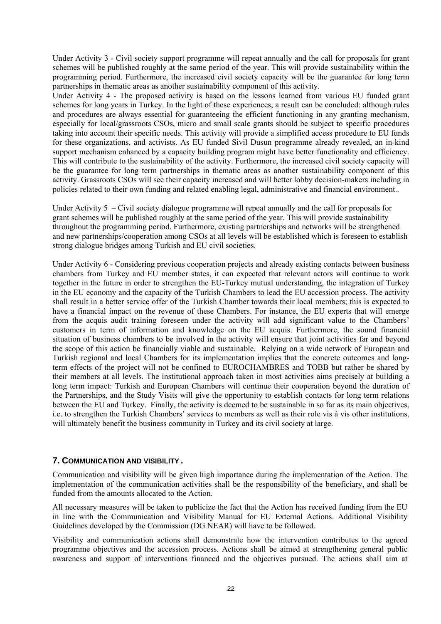Under Activity 3 - Civil society support programme will repeat annually and the call for proposals for grant schemes will be published roughly at the same period of the year. This will provide sustainability within the programming period. Furthermore, the increased civil society capacity will be the guarantee for long term partnerships in thematic areas as another sustainability component of this activity.

Under Activity 4 - The proposed activity is based on the lessons learned from various EU funded grant schemes for long years in Turkey. In the light of these experiences, a result can be concluded: although rules and procedures are always essential for guaranteeing the efficient functioning in any granting mechanism, especially for local/grassroots CSOs, micro and small scale grants should be subject to specific procedures taking into account their specific needs. This activity will provide a simplified access procedure to EU funds for these organizations, and activists. As EU funded Sivil Dusun programme already revealed, an in-kind support mechanism enhanced by a capacity building program might have better functionality and efficiency. This will contribute to the sustainability of the activity. Furthermore, the increased civil society capacity will be the guarantee for long term partnerships in thematic areas as another sustainability component of this activity. Grassroots CSOs will see their capacity increased and will better lobby decision-makers including in policies related to their own funding and related enabling legal, administrative and financial environment..

Under Activity 5 – Civil society dialogue programme will repeat annually and the call for proposals for grant schemes will be published roughly at the same period of the year. This will provide sustainability throughout the programming period. Furthermore, existing partnerships and networks will be strengthened and new partnerships/cooperation among CSOs at all levels will be established which is foreseen to establish strong dialogue bridges among Turkish and EU civil societies.

Under Activity 6 - Considering previous cooperation projects and already existing contacts between business chambers from Turkey and EU member states, it can expected that relevant actors will continue to work together in the future in order to strengthen the EU-Turkey mutual understanding, the integration of Turkey in the EU economy and the capacity of the Turkish Chambers to lead the EU accession process. The activity shall result in a better service offer of the Turkish Chamber towards their local members; this is expected to have a financial impact on the revenue of these Chambers. For instance, the EU experts that will emerge from the acquis audit training foreseen under the activity will add significant value to the Chambers' customers in term of information and knowledge on the EU acquis. Furthermore, the sound financial situation of business chambers to be involved in the activity will ensure that joint activities far and beyond the scope of this action be financially viable and sustainable. Relying on a wide network of European and Turkish regional and local Chambers for its implementation implies that the concrete outcomes and longterm effects of the project will not be confined to EUROCHAMBRES and TOBB but rather be shared by their members at all levels. The institutional approach taken in most activities aims precisely at building a long term impact: Turkish and European Chambers will continue their cooperation beyond the duration of the Partnerships, and the Study Visits will give the opportunity to establish contacts for long term relations between the EU and Turkey. Finally, the activity is deemed to be sustainable in so far as its main objectives, i.e. to strengthen the Turkish Chambers' services to members as well as their role vis à vis other institutions, will ultimately benefit the business community in Turkey and its civil society at large.

# **7. COMMUNICATION AND VISIBILITY** *.*

Communication and visibility will be given high importance during the implementation of the Action. The implementation of the communication activities shall be the responsibility of the beneficiary, and shall be funded from the amounts allocated to the Action.

All necessary measures will be taken to publicize the fact that the Action has received funding from the EU in line with the Communication and Visibility Manual for EU External Actions. Additional Visibility Guidelines developed by the Commission (DG NEAR) will have to be followed.

Visibility and communication actions shall demonstrate how the intervention contributes to the agreed programme objectives and the accession process. Actions shall be aimed at strengthening general public awareness and support of interventions financed and the objectives pursued. The actions shall aim at